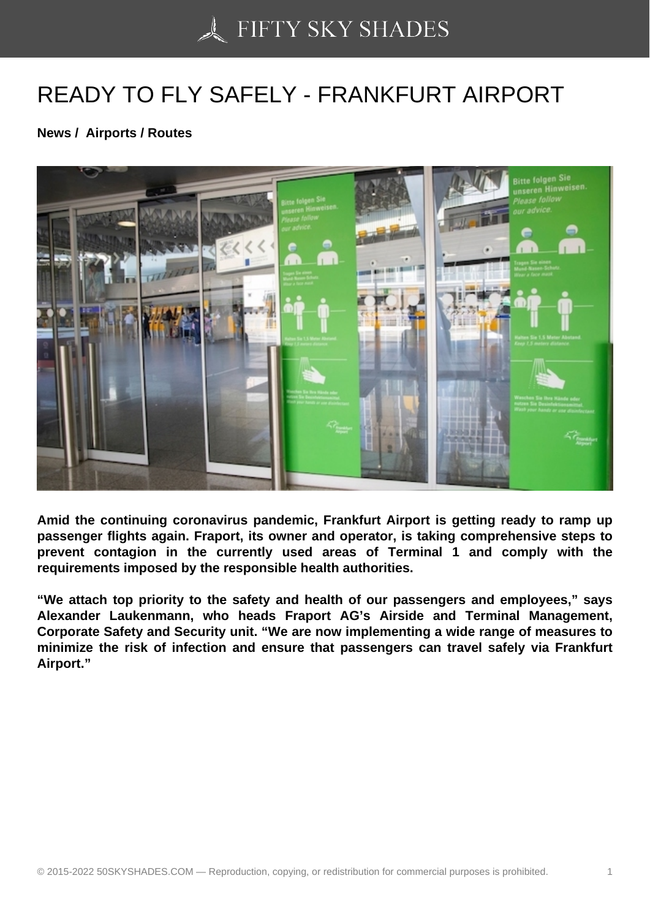## [READY TO FLY SAFE](https://50skyshades.com)LY - FRANKFURT AIRPORT

News / Airports / Routes

Amid the continuing coronavirus pandemic, Frankfurt Airport is getting ready to ramp up passenger flights again. Fraport, its owner and operator, is taking comprehensive steps to prevent contagion in the currently used areas of Terminal 1 and comply with the requirements imposed by the responsible health authorities.

"We attach top priority to the safety and health of our passengers and employees," says Alexander Laukenmann, who heads Fraport AG's Airside and Terminal Management, Corporate Safety and Security unit. "We are now implementing a wide range of measures to minimize the risk of infection and ensure that passengers can travel safely via Frankfurt Airport."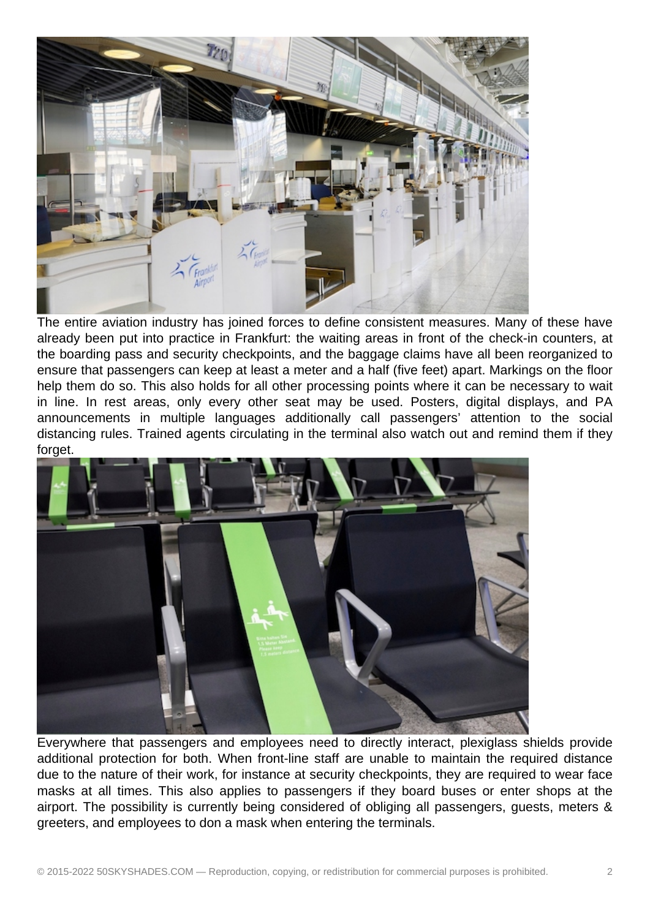

The entire aviation industry has joined forces to define consistent measures. Many of these have already been put into practice in Frankfurt: the waiting areas in front of the check-in counters, at the boarding pass and security checkpoints, and the baggage claims have all been reorganized to ensure that passengers can keep at least a meter and a half (five feet) apart. Markings on the floor help them do so. This also holds for all other processing points where it can be necessary to wait in line. In rest areas, only every other seat may be used. Posters, digital displays, and PA announcements in multiple languages additionally call passengers' attention to the social distancing rules. Trained agents circulating in the terminal also watch out and remind them if they forget.



Everywhere that passengers and employees need to directly interact, plexiglass shields provide additional protection for both. When front-line staff are unable to maintain the required distance due to the nature of their work, for instance at security checkpoints, they are required to wear face masks at all times. This also applies to passengers if they board buses or enter shops at the airport. The possibility is currently being considered of obliging all passengers, guests, meters & greeters, and employees to don a mask when entering the terminals.